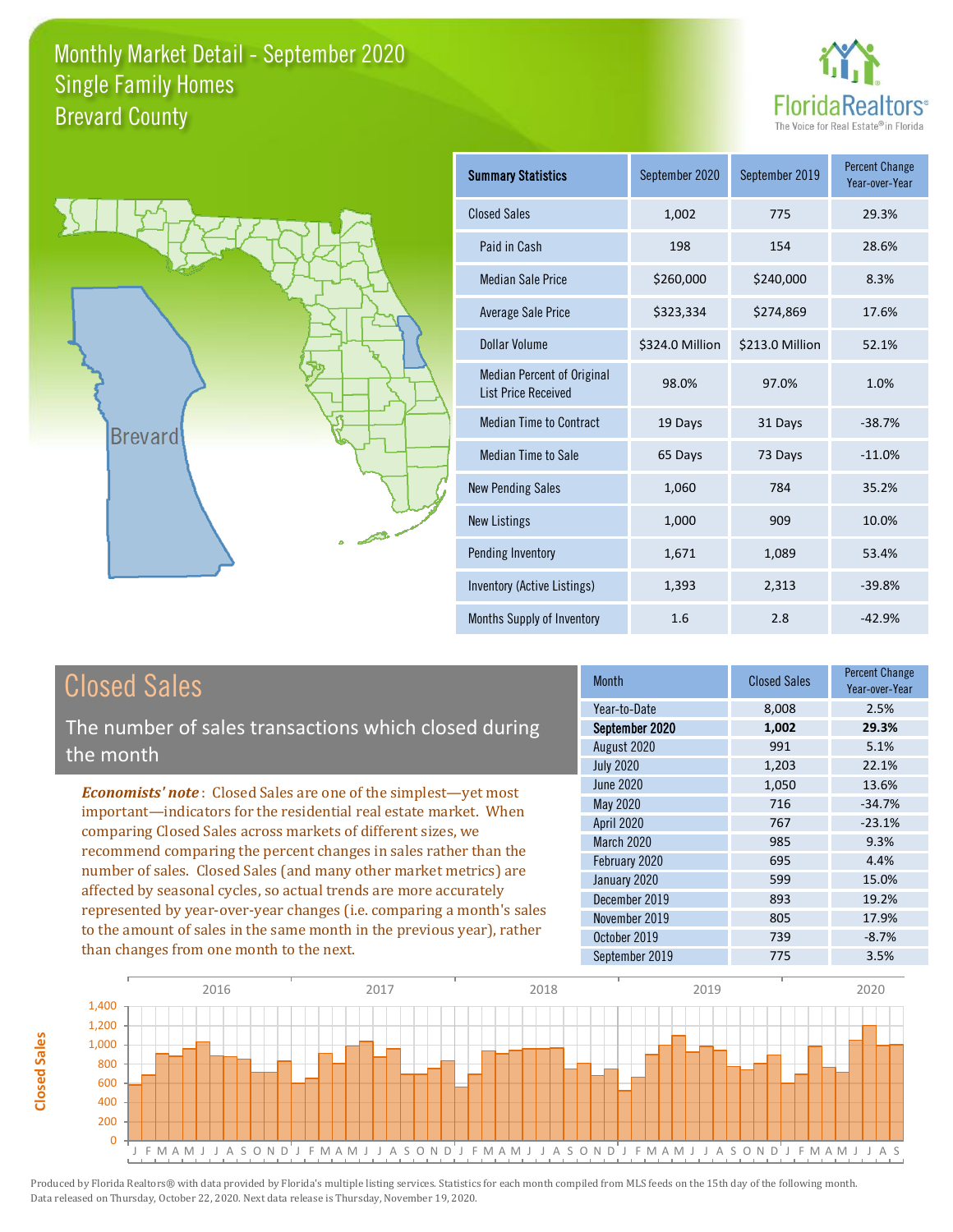



| <b>Summary Statistics</b>                                       | September 2020  | September 2019  | <b>Percent Change</b><br>Year-over-Year |
|-----------------------------------------------------------------|-----------------|-----------------|-----------------------------------------|
| <b>Closed Sales</b>                                             | 1,002           | 775             | 29.3%                                   |
| Paid in Cash                                                    | 198             | 154             | 28.6%                                   |
| <b>Median Sale Price</b>                                        | \$260,000       | \$240,000       | 8.3%                                    |
| Average Sale Price                                              | \$323,334       | \$274,869       | 17.6%                                   |
| Dollar Volume                                                   | \$324.0 Million | \$213.0 Million | 52.1%                                   |
| <b>Median Percent of Original</b><br><b>List Price Received</b> | 98.0%           | 97.0%           | 1.0%                                    |
| <b>Median Time to Contract</b>                                  | 19 Days         | 31 Days         | $-38.7%$                                |
| <b>Median Time to Sale</b>                                      | 65 Days         | 73 Days         | $-11.0%$                                |
| <b>New Pending Sales</b>                                        | 1,060           | 784             | 35.2%                                   |
| <b>New Listings</b>                                             | 1,000           | 909             | 10.0%                                   |
| Pending Inventory                                               | 1,671           | 1,089           | 53.4%                                   |
| Inventory (Active Listings)                                     | 1,393           | 2,313           | $-39.8%$                                |
| Months Supply of Inventory                                      | 1.6             | 2.8             | $-42.9%$                                |

The number of sales transactions which closed during the month

*Economists' note* : Closed Sales are one of the simplest—yet most important—indicators for the residential real estate market. When comparing Closed Sales across markets of different sizes, we recommend comparing the percent changes in sales rather than the number of sales. Closed Sales (and many other market metrics) are affected by seasonal cycles, so actual trends are more accurately represented by year-over-year changes (i.e. comparing a month's sales to the amount of sales in the same month in the previous year), rather than changes from one month to the next.

| Month            | <b>Closed Sales</b> | <b>Percent Change</b><br>Year-over-Year |
|------------------|---------------------|-----------------------------------------|
| Year-to-Date     | 8,008               | 2.5%                                    |
| September 2020   | 1,002               | 29.3%                                   |
| August 2020      | 991                 | 5.1%                                    |
| <b>July 2020</b> | 1,203               | 22.1%                                   |
| June 2020        | 1,050               | 13.6%                                   |
| <b>May 2020</b>  | 716                 | $-34.7%$                                |
| April 2020       | 767                 | $-23.1%$                                |
| March 2020       | 985                 | 9.3%                                    |
| February 2020    | 695                 | 4.4%                                    |
| January 2020     | 599                 | 15.0%                                   |
| December 2019    | 893                 | 19.2%                                   |
| November 2019    | 805                 | 17.9%                                   |
| October 2019     | 739                 | $-8.7%$                                 |
| September 2019   | 775                 | 3.5%                                    |

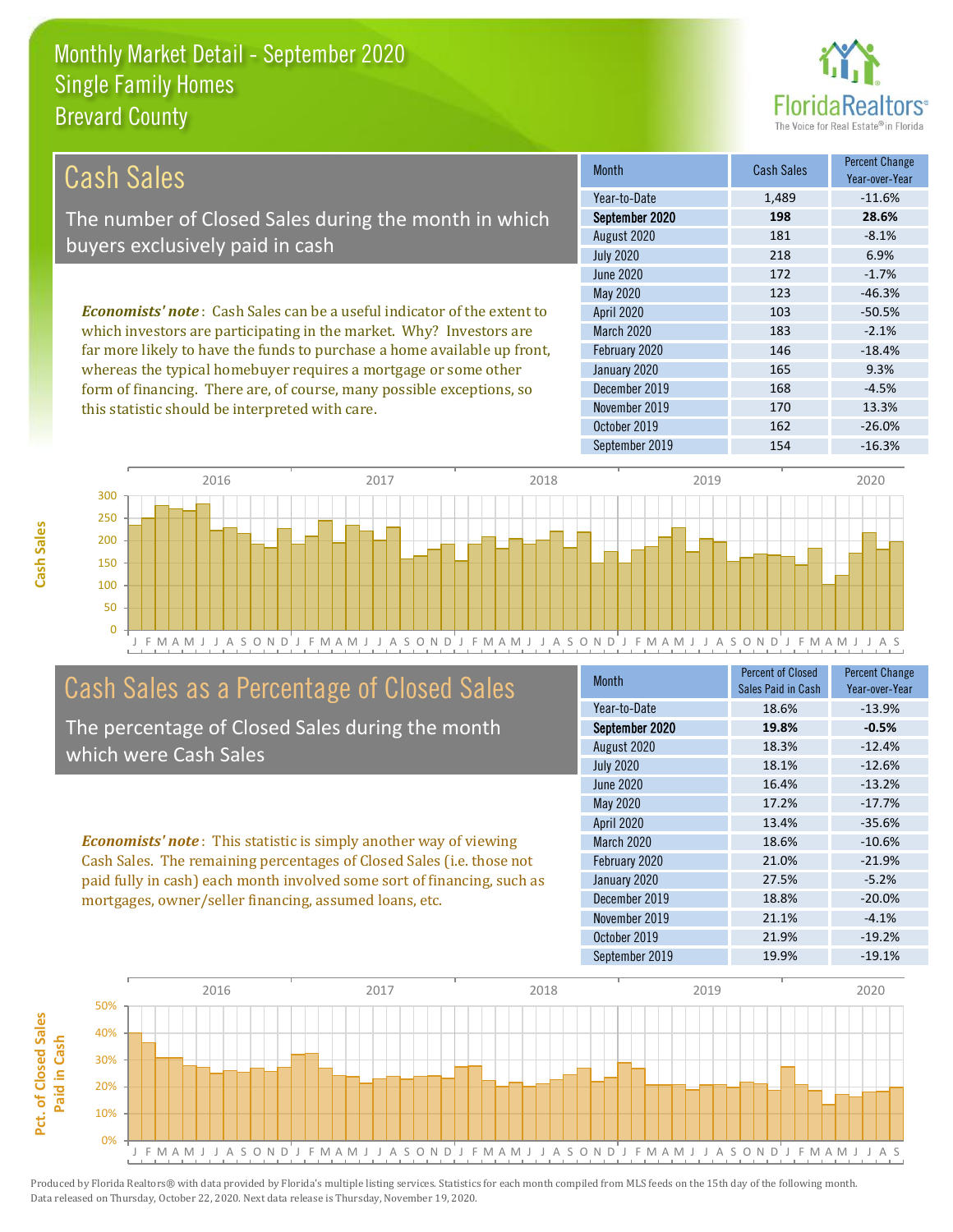this statistic should be interpreted with care.



170 13.3%

| Cash Sales                                                                      | <b>Month</b>      | <b>Cash Sales</b> | <b>Percent Change</b><br>Year-over-Year |
|---------------------------------------------------------------------------------|-------------------|-------------------|-----------------------------------------|
|                                                                                 | Year-to-Date      | 1.489             | $-11.6\%$                               |
| The number of Closed Sales during the month in which                            | September 2020    | 198               | 28.6%                                   |
| buyers exclusively paid in cash                                                 | August 2020       | 181               | $-8.1%$                                 |
|                                                                                 | <b>July 2020</b>  | 218               | 6.9%                                    |
|                                                                                 | June 2020         | 172               | $-1.7%$                                 |
|                                                                                 | May 2020          | 123               | $-46.3%$                                |
| <b>Economists' note</b> : Cash Sales can be a useful indicator of the extent to | <b>April 2020</b> | 103               | $-50.5%$                                |
| which investors are participating in the market. Why? Investors are             | <b>March 2020</b> | 183               | $-2.1%$                                 |
| far more likely to have the funds to purchase a home available up front,        | February 2020     | 146               | $-18.4%$                                |
| whereas the typical homebuyer requires a mortgage or some other                 | January 2020      | 165               | 9.3%                                    |
| form of financing. There are, of course, many possible exceptions, so           | December 2019     | 168               | $-4.5%$                                 |

November 2019



# Cash Sales as a Percentage of Closed Sales

The percentage of Closed Sales during the month which were Cash Sales

*Economists' note* : This statistic is simply another way of viewing Cash Sales. The remaining percentages of Closed Sales (i.e. those not paid fully in cash) each month involved some sort of financing, such as mortgages, owner/seller financing, assumed loans, etc.

| <b>Month</b>      | <b>Percent of Closed</b><br>Sales Paid in Cash | <b>Percent Change</b><br>Year-over-Year |
|-------------------|------------------------------------------------|-----------------------------------------|
| Year-to-Date      | 18.6%                                          | $-13.9%$                                |
| September 2020    | 19.8%                                          | $-0.5%$                                 |
| August 2020       | 18.3%                                          | $-12.4%$                                |
| <b>July 2020</b>  | 18.1%                                          | $-12.6%$                                |
| June 2020         | 16.4%                                          | $-13.2%$                                |
| May 2020          | 17.2%                                          | $-17.7%$                                |
| <b>April 2020</b> | 13.4%                                          | $-35.6%$                                |
| <b>March 2020</b> | 18.6%                                          | $-10.6%$                                |
| February 2020     | 21.0%                                          | $-21.9%$                                |
| January 2020      | 27.5%                                          | $-5.2%$                                 |
| December 2019     | 18.8%                                          | $-20.0%$                                |
| November 2019     | 21.1%                                          | $-4.1%$                                 |
| October 2019      | 21.9%                                          | $-19.2%$                                |
| September 2019    | 19.9%                                          | $-19.1%$                                |

October 2019 162 162 -26.0%

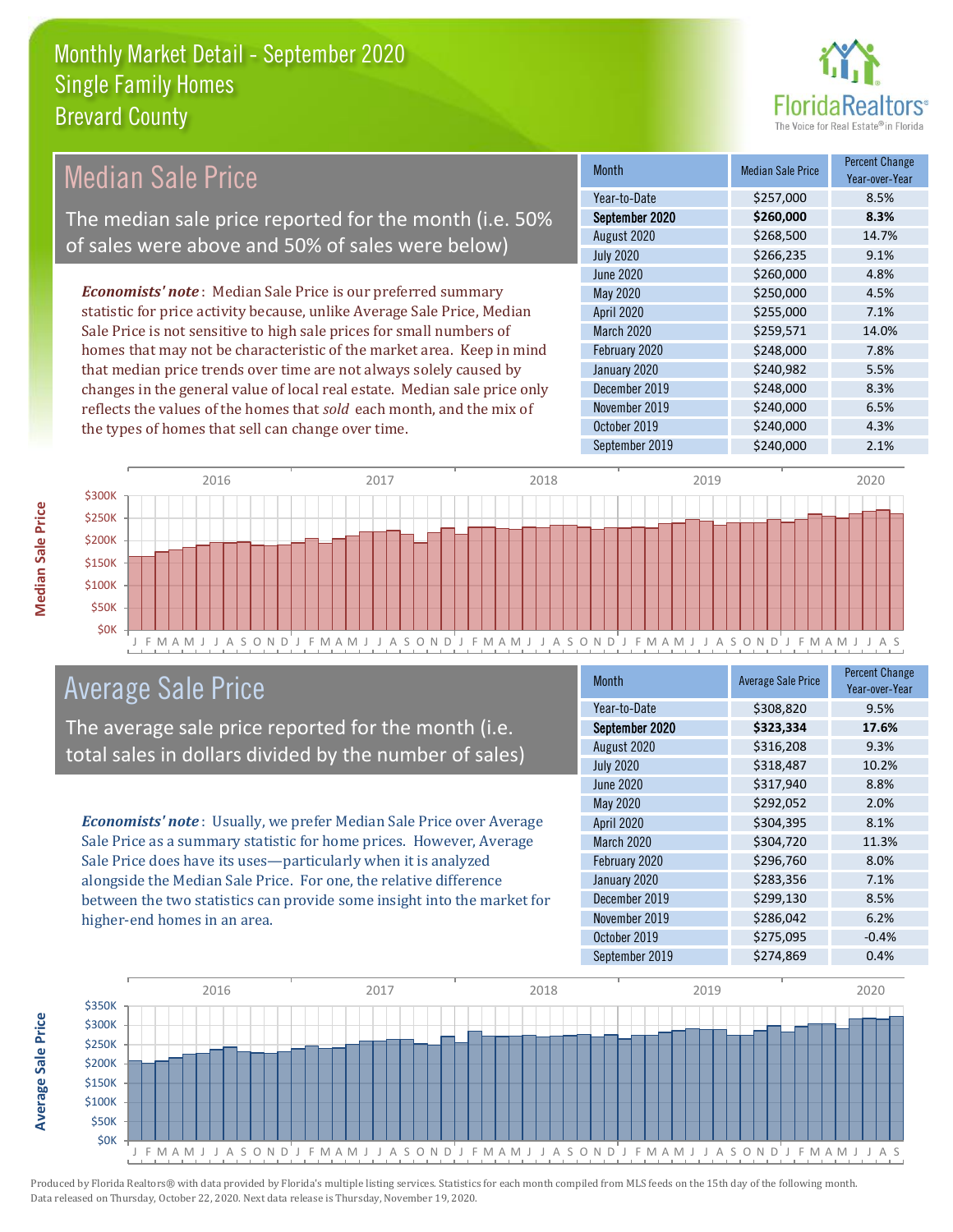

#### Month Median Sale Price Percent Change Year-over-Year September 2020 **\$260,000 8.3%** Year-to-Date \$257,000 8.5% February 2020 \$248,000 \$248,000 7.8% August 2020 \$268,500 14.7% July 2020 \$266,235 9.1% April 2020 \$255,000 7.1% March 2020 \$259,571 14.0% June 2020 \$260,000 \$260,000 4.8% May 2020 \$250,000 \$250,000 4.5% January 2020 **\$240,982** 5.5% December 2019 **\$248,000** 8.3% November 2019 **\$240,000** 6.5% October 2019 **\$240,000** \$240,000 4.3% September 2019 \$240,000 \$2.1% *Economists' note* : Median Sale Price is our preferred summary statistic for price activity because, unlike Average Sale Price, Median Sale Price is not sensitive to high sale prices for small numbers of homes that may not be characteristic of the market area. Keep in mind that median price trends over time are not always solely caused by changes in the general value of local real estate. Median sale price only reflects the values of the homes that *sold* each month, and the mix of the types of homes that sell can change over time. Median Sale Price The median sale price reported for the month (i.e. 50% of sales were above and 50% of sales were below)



## Average Sale Price

The average sale price reported for the month (i.e. total sales in dollars divided by the number of sales)

*Economists' note* : Usually, we prefer Median Sale Price over Average Sale Price as a summary statistic for home prices. However, Average Sale Price does have its uses—particularly when it is analyzed alongside the Median Sale Price. For one, the relative difference between the two statistics can provide some insight into the market for higher-end homes in an area.

| <b>Month</b>      | <b>Average Sale Price</b> | <b>Percent Change</b><br>Year-over-Year |
|-------------------|---------------------------|-----------------------------------------|
| Year-to-Date      | \$308,820                 | 9.5%                                    |
| September 2020    | \$323,334                 | 17.6%                                   |
| August 2020       | \$316,208                 | 9.3%                                    |
| <b>July 2020</b>  | \$318,487                 | 10.2%                                   |
| <b>June 2020</b>  | \$317,940                 | 8.8%                                    |
| May 2020          | \$292,052                 | 2.0%                                    |
| <b>April 2020</b> | \$304,395                 | 8.1%                                    |
| March 2020        | \$304,720                 | 11.3%                                   |
| February 2020     | \$296,760                 | 8.0%                                    |
| January 2020      | \$283,356                 | 7.1%                                    |
| December 2019     | \$299,130                 | 8.5%                                    |
| November 2019     | \$286,042                 | 6.2%                                    |
| October 2019      | \$275,095                 | $-0.4%$                                 |
| September 2019    | \$274.869                 | 0.4%                                    |



**Median Sale Price** 

**Average Sale Price Average Sale Price**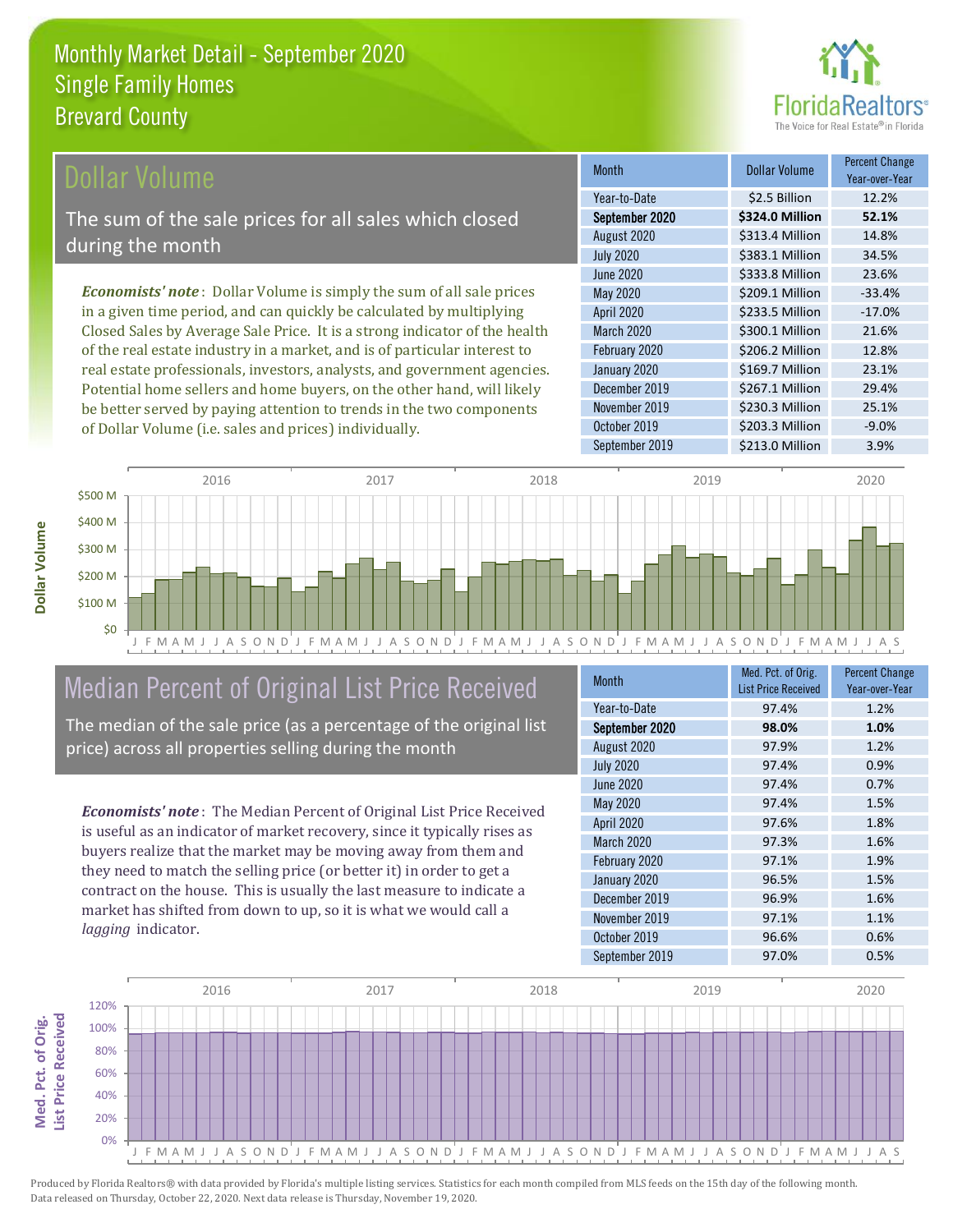

### ollar Volume

The sum of the sale prices for all sales which closed during the month

*Economists' note* : Dollar Volume is simply the sum of all sale prices in a given time period, and can quickly be calculated by multiplying Closed Sales by Average Sale Price. It is a strong indicator of the health of the real estate industry in a market, and is of particular interest to real estate professionals, investors, analysts, and government agencies. Potential home sellers and home buyers, on the other hand, will likely be better served by paying attention to trends in the two components of Dollar Volume (i.e. sales and prices) individually.

| <b>Month</b>      | Dollar Volume   | <b>Percent Change</b><br>Year-over-Year |
|-------------------|-----------------|-----------------------------------------|
| Year-to-Date      | \$2.5 Billion   | 12.2%                                   |
| September 2020    | \$324.0 Million | 52.1%                                   |
| August 2020       | \$313.4 Million | 14.8%                                   |
| <b>July 2020</b>  | \$383.1 Million | 34.5%                                   |
| June 2020         | \$333.8 Million | 23.6%                                   |
| May 2020          | \$209.1 Million | $-33.4%$                                |
| <b>April 2020</b> | \$233.5 Million | $-17.0%$                                |
| March 2020        | \$300.1 Million | 21.6%                                   |
| February 2020     | \$206.2 Million | 12.8%                                   |
| January 2020      | \$169.7 Million | 23.1%                                   |
| December 2019     | \$267.1 Million | 29.4%                                   |
| November 2019     | \$230.3 Million | 25.1%                                   |
| October 2019      | \$203.3 Million | $-9.0%$                                 |
| September 2019    | \$213.0 Million | 3.9%                                    |



# Median Percent of Original List Price Received

The median of the sale price (as a percentage of the original list price) across all properties selling during the month

*Economists' note* : The Median Percent of Original List Price Received is useful as an indicator of market recovery, since it typically rises as buyers realize that the market may be moving away from them and they need to match the selling price (or better it) in order to get a contract on the house. This is usually the last measure to indicate a market has shifted from down to up, so it is what we would call a *lagging* indicator.

| <b>Month</b>      | Med. Pct. of Orig.<br><b>List Price Received</b> | <b>Percent Change</b><br>Year-over-Year |
|-------------------|--------------------------------------------------|-----------------------------------------|
| Year-to-Date      | 97.4%                                            | 1.2%                                    |
| September 2020    | 98.0%                                            | 1.0%                                    |
| August 2020       | 97.9%                                            | 1.2%                                    |
| <b>July 2020</b>  | 97.4%                                            | 0.9%                                    |
| <b>June 2020</b>  | 97.4%                                            | 0.7%                                    |
| May 2020          | 97.4%                                            | 1.5%                                    |
| <b>April 2020</b> | 97.6%                                            | 1.8%                                    |
| <b>March 2020</b> | 97.3%                                            | 1.6%                                    |
| February 2020     | 97.1%                                            | 1.9%                                    |
| January 2020      | 96.5%                                            | 1.5%                                    |
| December 2019     | 96.9%                                            | 1.6%                                    |
| November 2019     | 97.1%                                            | 1.1%                                    |
| October 2019      | 96.6%                                            | 0.6%                                    |
| September 2019    | 97.0%                                            | 0.5%                                    |



Produced by Florida Realtors® with data provided by Florida's multiple listing services. Statistics for each month compiled from MLS feeds on the 15th day of the following month. Data released on Thursday, October 22, 2020. Next data release is Thursday, November 19, 2020.

**Med. Pct. of Orig.** 

Med. Pct. of Orig.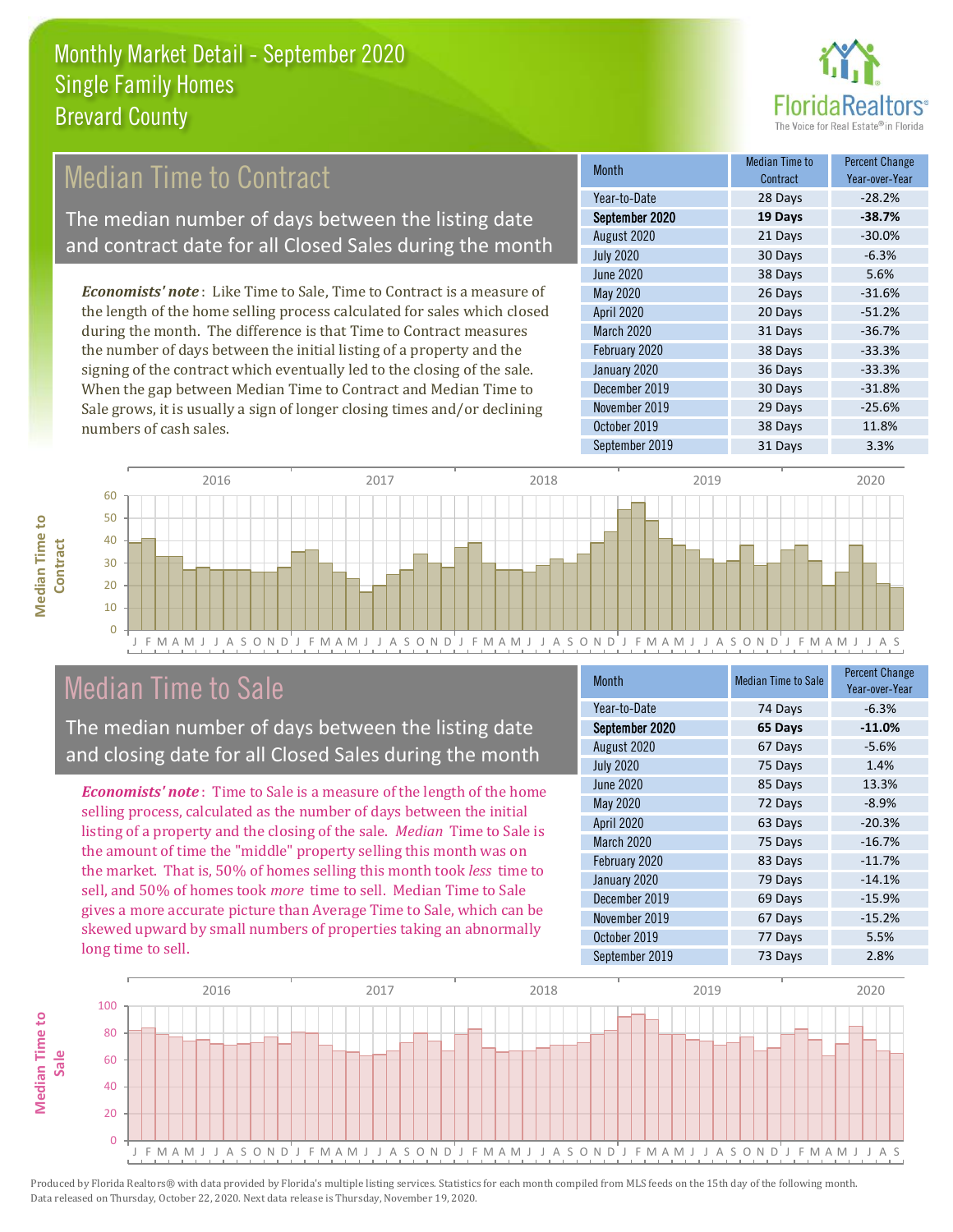

# Median Time to Contract

The median number of days between the listing date and contract date for all Closed Sales during the month

*Economists' note* : Like Time to Sale, Time to Contract is a measure of the length of the home selling process calculated for sales which closed during the month. The difference is that Time to Contract measures the number of days between the initial listing of a property and the signing of the contract which eventually led to the closing of the sale. When the gap between Median Time to Contract and Median Time to Sale grows, it is usually a sign of longer closing times and/or declining numbers of cash sales.

| <b>Month</b>      | Median Time to<br>Contract | <b>Percent Change</b><br>Year-over-Year |
|-------------------|----------------------------|-----------------------------------------|
| Year-to-Date      | 28 Days                    | $-28.2%$                                |
| September 2020    | 19 Days                    | $-38.7%$                                |
| August 2020       | 21 Days                    | $-30.0%$                                |
| <b>July 2020</b>  | 30 Days                    | $-6.3%$                                 |
| June 2020         | 38 Days                    | 5.6%                                    |
| May 2020          | 26 Days                    | $-31.6%$                                |
| <b>April 2020</b> | 20 Days                    | $-51.2%$                                |
| March 2020        | 31 Days                    | $-36.7%$                                |
| February 2020     | 38 Days                    | $-33.3%$                                |
| January 2020      | 36 Days                    | $-33.3%$                                |
| December 2019     | 30 Days                    | $-31.8%$                                |
| November 2019     | 29 Days                    | $-25.6%$                                |
| October 2019      | 38 Days                    | 11.8%                                   |
| September 2019    | 31 Days                    | 3.3%                                    |



### Median Time to Sale

**Median Time to Contract**

**Median Time to** 

The median number of days between the listing date and closing date for all Closed Sales during the month

*Economists' note* : Time to Sale is a measure of the length of the home selling process, calculated as the number of days between the initial listing of a property and the closing of the sale. *Median* Time to Sale is the amount of time the "middle" property selling this month was on the market. That is, 50% of homes selling this month took *less* time to sell, and 50% of homes took *more* time to sell. Median Time to Sale gives a more accurate picture than Average Time to Sale, which can be skewed upward by small numbers of properties taking an abnormally long time to sell.

| <b>Month</b>      | <b>Median Time to Sale</b> | <b>Percent Change</b><br>Year-over-Year |
|-------------------|----------------------------|-----------------------------------------|
| Year-to-Date      | 74 Days                    | $-6.3%$                                 |
| September 2020    | 65 Days                    | $-11.0%$                                |
| August 2020       | 67 Days                    | $-5.6%$                                 |
| <b>July 2020</b>  | 75 Days                    | 1.4%                                    |
| June 2020         | 85 Days                    | 13.3%                                   |
| <b>May 2020</b>   | 72 Days                    | $-8.9%$                                 |
| <b>April 2020</b> | 63 Days                    | $-20.3%$                                |
| <b>March 2020</b> | 75 Days                    | $-16.7%$                                |
| February 2020     | 83 Days                    | $-11.7%$                                |
| January 2020      | 79 Days                    | $-14.1%$                                |
| December 2019     | 69 Days                    | $-15.9%$                                |
| November 2019     | 67 Days                    | $-15.2%$                                |
| October 2019      | 77 Days                    | 5.5%                                    |
| September 2019    | 73 Days                    | 2.8%                                    |

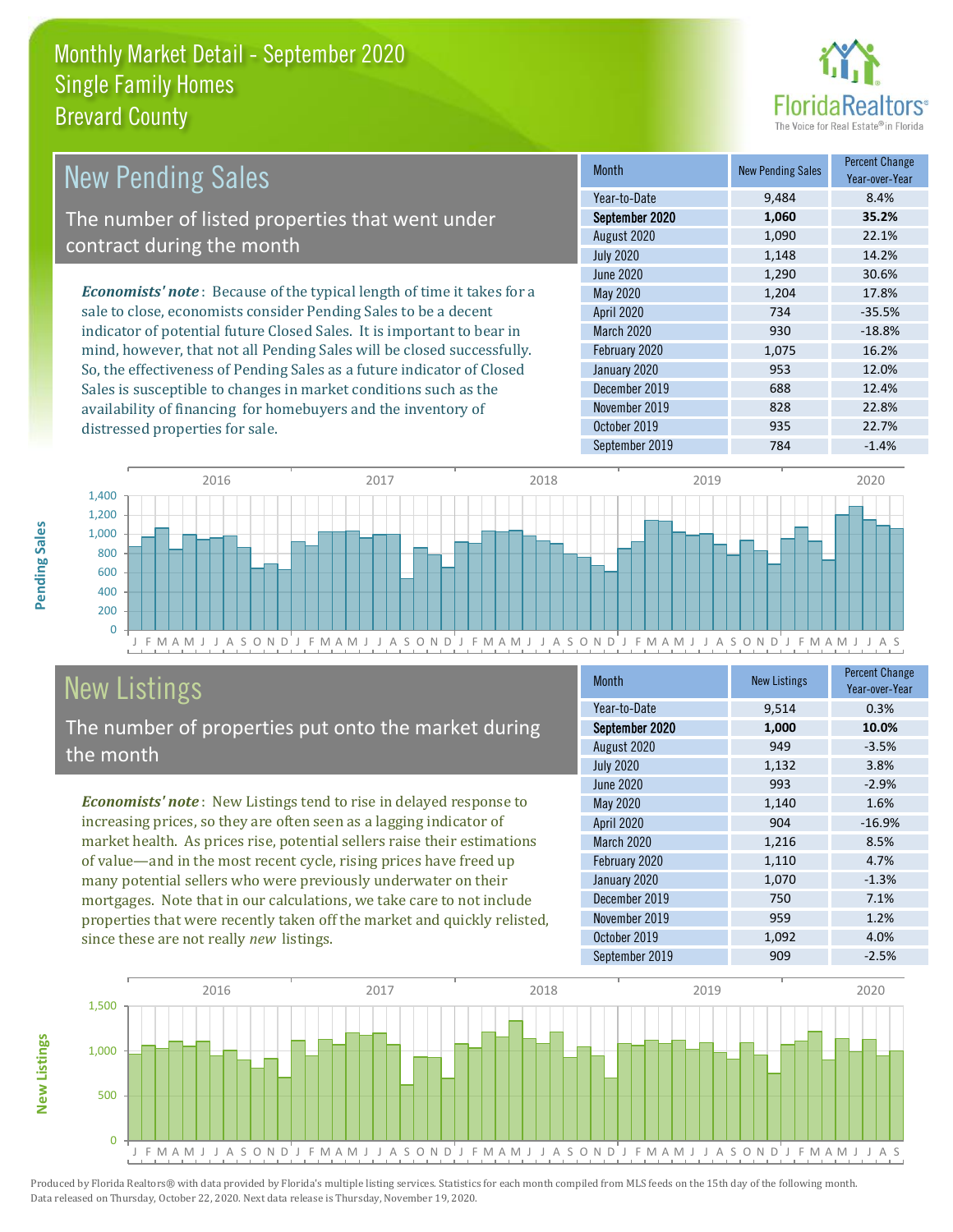

| New Pending Sales                                                             | <b>Month</b>      | <b>New Pending Sales</b> | <b>Percent Change</b><br>Year-over-Year |
|-------------------------------------------------------------------------------|-------------------|--------------------------|-----------------------------------------|
|                                                                               | Year-to-Date      | 9,484                    | 8.4%                                    |
| The number of listed properties that went under                               | September 2020    | 1,060                    | 35.2%                                   |
| contract during the month                                                     | August 2020       | 1,090                    | 22.1%                                   |
|                                                                               | <b>July 2020</b>  | 1,148                    | 14.2%                                   |
|                                                                               | June 2020         | 1,290                    | 30.6%                                   |
| <b>Economists' note:</b> Because of the typical length of time it takes for a | May 2020          | 1,204                    | 17.8%                                   |
| sale to close, economists consider Pending Sales to be a decent               | <b>April 2020</b> | 734                      | $-35.5%$                                |
| indicator of potential future Closed Sales. It is important to bear in        | <b>March 2020</b> | 930                      | $-18.8%$                                |
| mind, however, that not all Pending Sales will be closed successfully.        | February 2020     | 1,075                    | 16.2%                                   |
| So, the effectiveness of Pending Sales as a future indicator of Closed        | January 2020      | 953                      | 12.0%                                   |
| Sales is susceptible to changes in market conditions such as the              | December 2019     | 688                      | 12.4%                                   |
| availability of financing for homebuyers and the inventory of                 | November 2019     | 828                      | 22.8%                                   |



# New Listings

distressed properties for sale.

The number of properties put onto the market during the month

*Economists' note* : New Listings tend to rise in delayed response to increasing prices, so they are often seen as a lagging indicator of market health. As prices rise, potential sellers raise their estimations of value—and in the most recent cycle, rising prices have freed up many potential sellers who were previously underwater on their mortgages. Note that in our calculations, we take care to not include properties that were recently taken off the market and quickly relisted, since these are not really *new* listings.

| <b>Month</b>      | <b>New Listings</b> | <b>Percent Change</b><br>Year-over-Year |
|-------------------|---------------------|-----------------------------------------|
| Year-to-Date      | 9,514               | 0.3%                                    |
| September 2020    | 1,000               | 10.0%                                   |
| August 2020       | 949                 | $-3.5%$                                 |
| <b>July 2020</b>  | 1,132               | 3.8%                                    |
| <b>June 2020</b>  | 993                 | $-2.9%$                                 |
| May 2020          | 1,140               | 1.6%                                    |
| <b>April 2020</b> | 904                 | $-16.9%$                                |
| March 2020        | 1,216               | 8.5%                                    |
| February 2020     | 1,110               | 4.7%                                    |
| January 2020      | 1,070               | $-1.3%$                                 |
| December 2019     | 750                 | 7.1%                                    |
| November 2019     | 959                 | 1.2%                                    |
| October 2019      | 1,092               | 4.0%                                    |
| September 2019    | 909                 | $-2.5%$                                 |

October 2019 **935** 22.7% September 2019 784 -1.4%



Produced by Florida Realtors® with data provided by Florida's multiple listing services. Statistics for each month compiled from MLS feeds on the 15th day of the following month. Data released on Thursday, October 22, 2020. Next data release is Thursday, November 19, 2020.

**New Listings**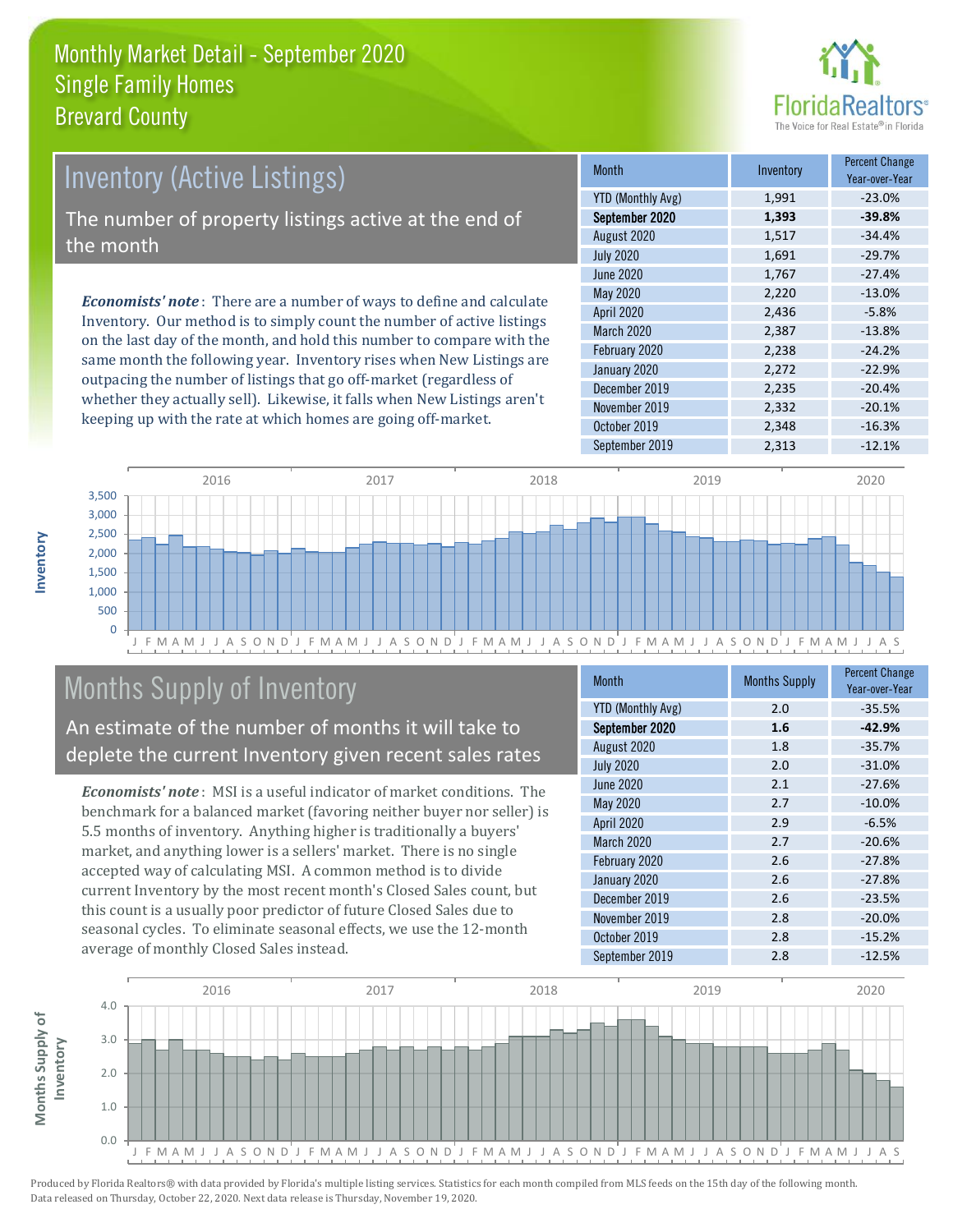

# *Economists' note* : There are a number of ways to define and calculate Inventory. Our method is to simply count the number of active listings Inventory (Active Listings) The number of property listings active at the end of the month

on the last day of the month, and hold this number to compare with the same month the following year. Inventory rises when New Listings are outpacing the number of listings that go off-market (regardless of whether they actually sell). Likewise, it falls when New Listings aren't keeping up with the rate at which homes are going off-market.

| Month                    | Inventory | <b>Percent Change</b><br>Year-over-Year |
|--------------------------|-----------|-----------------------------------------|
| <b>YTD (Monthly Avg)</b> | 1,991     | $-23.0%$                                |
| September 2020           | 1,393     | $-39.8%$                                |
| August 2020              | 1,517     | $-34.4%$                                |
| <b>July 2020</b>         | 1,691     | $-29.7%$                                |
| <b>June 2020</b>         | 1,767     | $-27.4%$                                |
| May 2020                 | 2,220     | $-13.0%$                                |
| <b>April 2020</b>        | 2,436     | $-5.8%$                                 |
| March 2020               | 2,387     | $-13.8%$                                |
| February 2020            | 2,238     | $-24.2%$                                |
| January 2020             | 2,272     | $-22.9%$                                |
| December 2019            | 2,235     | $-20.4%$                                |
| November 2019            | 2,332     | $-20.1%$                                |
| October 2019             | 2,348     | $-16.3%$                                |
| September 2019           | 2,313     | $-12.1%$                                |



# Months Supply of Inventory

An estimate of the number of months it will take to deplete the current Inventory given recent sales rates

*Economists' note* : MSI is a useful indicator of market conditions. The benchmark for a balanced market (favoring neither buyer nor seller) is 5.5 months of inventory. Anything higher is traditionally a buyers' market, and anything lower is a sellers' market. There is no single accepted way of calculating MSI. A common method is to divide current Inventory by the most recent month's Closed Sales count, but this count is a usually poor predictor of future Closed Sales due to seasonal cycles. To eliminate seasonal effects, we use the 12-month average of monthly Closed Sales instead.

| <b>Month</b>             | <b>Months Supply</b> | <b>Percent Change</b><br>Year-over-Year |
|--------------------------|----------------------|-----------------------------------------|
| <b>YTD (Monthly Avg)</b> | 2.0                  | $-35.5%$                                |
| September 2020           | 1.6                  | $-42.9%$                                |
| August 2020              | 1.8                  | $-35.7%$                                |
| <b>July 2020</b>         | 2.0                  | $-31.0%$                                |
| <b>June 2020</b>         | 2.1                  | $-27.6%$                                |
| <b>May 2020</b>          | 2.7                  | $-10.0%$                                |
| <b>April 2020</b>        | 2.9                  | $-6.5%$                                 |
| March 2020               | 2.7                  | $-20.6%$                                |
| February 2020            | 2.6                  | $-27.8%$                                |
| January 2020             | 2.6                  | $-27.8%$                                |
| December 2019            | 2.6                  | $-23.5%$                                |
| November 2019            | 2.8                  | $-20.0%$                                |
| October 2019             | 2.8                  | $-15.2%$                                |
| September 2019           | 2.8                  | $-12.5%$                                |

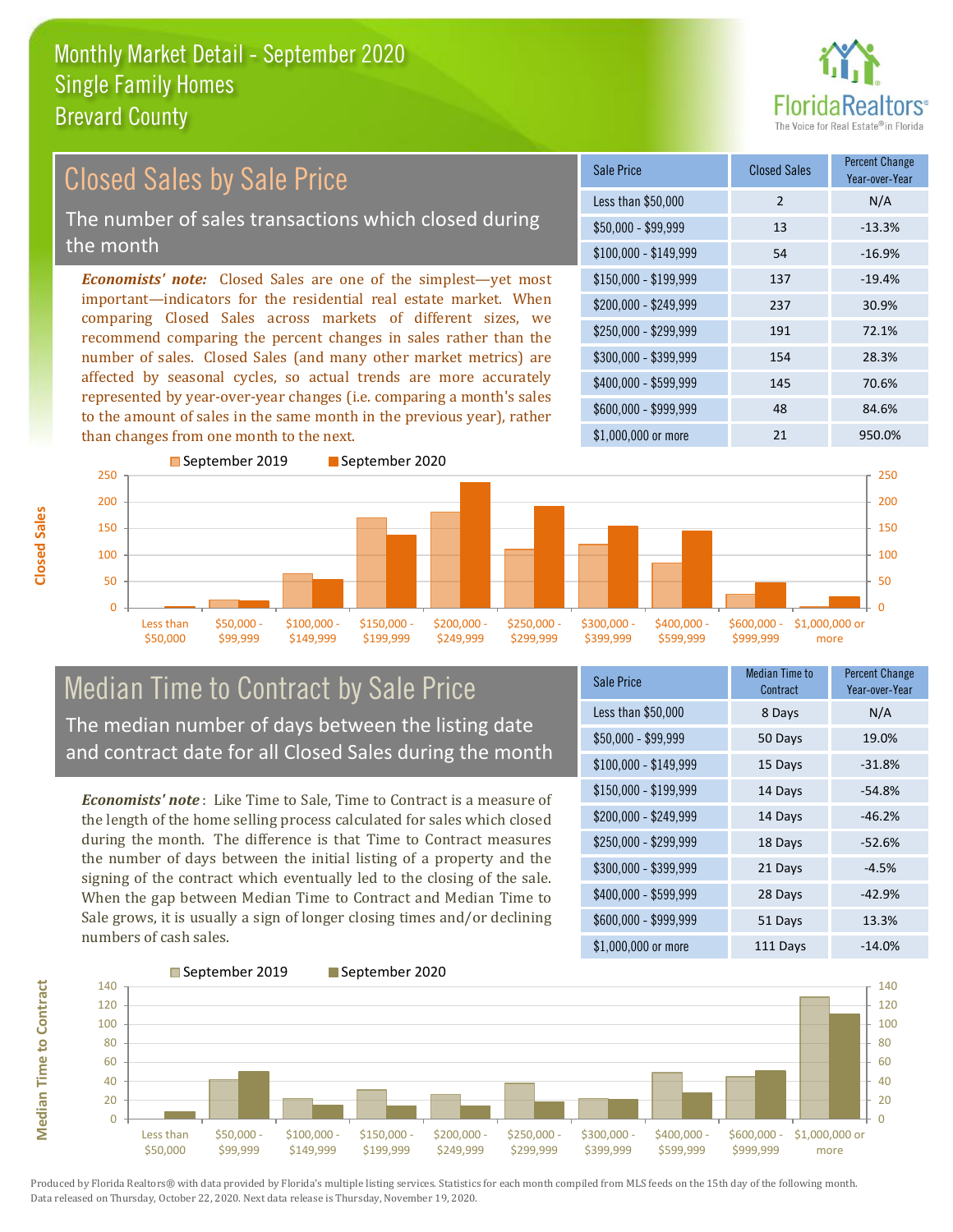

#### *Economists' note:* Closed Sales are one of the simplest—yet most important—indicators for the residential real estate market. When comparing Closed Sales across markets of different sizes, we recommend comparing the percent changes in sales rather than the number of sales. Closed Sales (and many other market metrics) are affected by seasonal cycles, so actual trends are more accurately represented by year-over-year changes (i.e. comparing a month's sales to the amount of sales in the same month in the previous year), rather than changes from one month to the next. \$1,000,000 or more 21 950.0% \$250,000 - \$299,999 191 72.1% \$300,000 - \$399,999 154 28.3% \$400,000 - \$599,999 145 70.6% \$600,000 - \$999,999 48 84.6% \$150,000 - \$199,999 137 -19.4% \$200,000 - \$249,999 237 30.9%  $$100,000 - $149,999$  54  $-16.9\%$ Sale Price Closed Sales Percent Change Year-over-Year Less than \$50,000 2 N/A  $$50,000 - $99,999$  13 -13.3% 150 200 250 ■September 2019 ■September 2020 150 200 250 Closed Sales by Sale Price The number of sales transactions which closed during the month

#### $\Omega$ Less than \$50,000 \$50,000 - \$99,999 \$100,000 \$149,999 \$150,000 - \$199,999 \$200,000 - \$249,999 \$250,000 - \$299,999 \$300,000 - \$399,999 \$400,000 - \$599,999 Median Time to Contract by Sale Price

The median number of days between the listing date and contract date for all Closed Sales during the month

*Economists' note* : Like Time to Sale, Time to Contract is a measure of the length of the home selling process calculated for sales which closed during the month. The difference is that Time to Contract measures the number of days between the initial listing of a property and the signing of the contract which eventually led to the closing of the sale. When the gap between Median Time to Contract and Median Time to Sale grows, it is usually a sign of longer closing times and/or declining numbers of cash sales.

| Sale Price            | <b>Median Time to</b><br>Contract | <b>Percent Change</b><br>Year-over-Year |
|-----------------------|-----------------------------------|-----------------------------------------|
| Less than \$50,000    | 8 Days                            | N/A                                     |
| \$50,000 - \$99,999   | 50 Days                           | 19.0%                                   |
| $$100,000 - $149,999$ | 15 Days                           | $-31.8%$                                |
| \$150,000 - \$199,999 | 14 Days                           | $-54.8%$                                |
| \$200,000 - \$249,999 | 14 Days                           | $-46.2%$                                |
| \$250,000 - \$299,999 | 18 Days                           | $-52.6%$                                |
| \$300,000 - \$399,999 | 21 Days                           | $-4.5%$                                 |
| \$400,000 - \$599,999 | 28 Days                           | $-42.9%$                                |
| \$600,000 - \$999,999 | 51 Days                           | 13.3%                                   |
| \$1,000,000 or more   | 111 Days                          | $-14.0%$                                |

\$600,000 - \$999,999

\$1,000,000 or more

 $\Omega$ 50 100



50 100

**Closed Sales**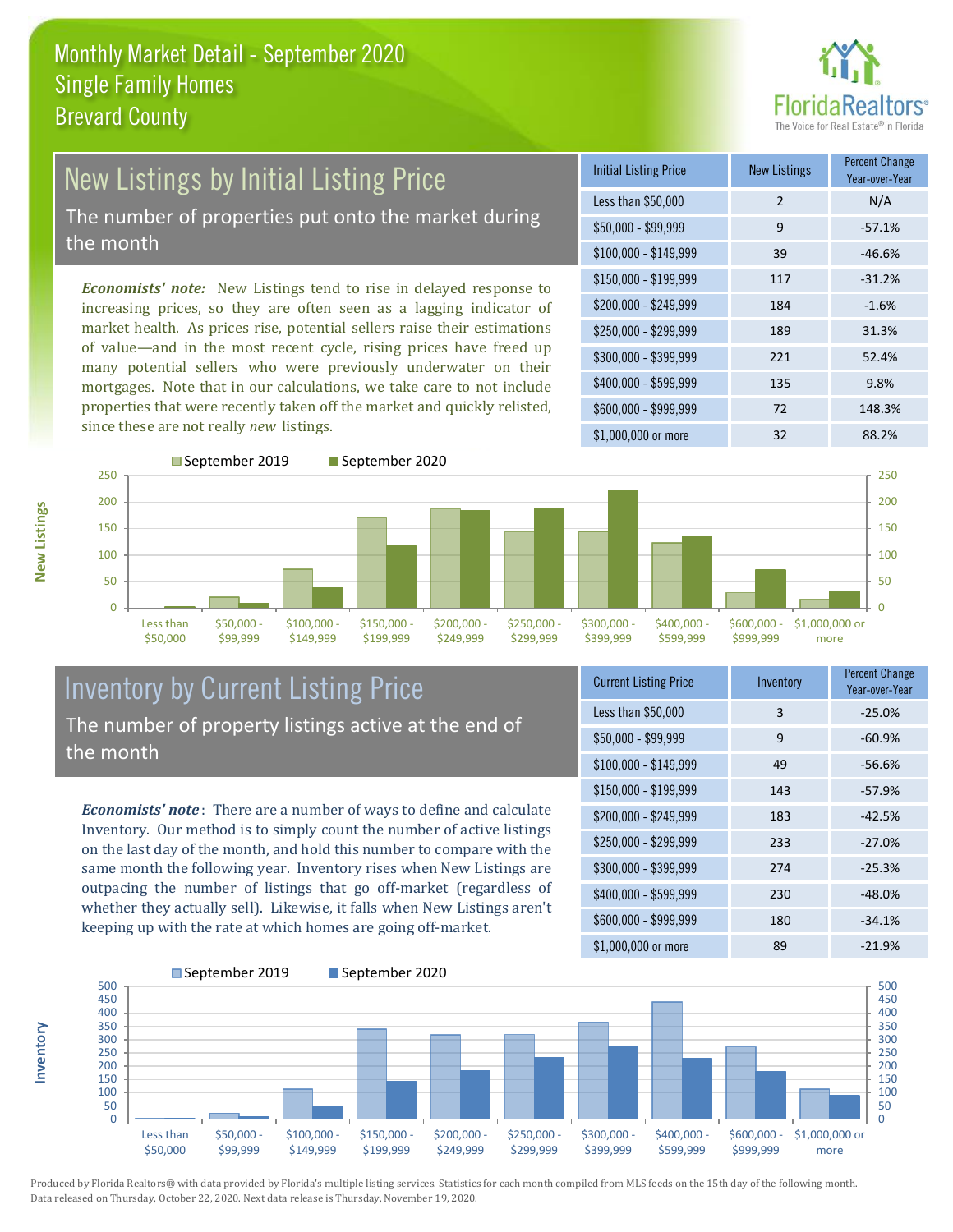

#### New Listings by Initial Listing Price The number of properties put onto the market during the month

*Economists' note:* New Listings tend to rise in delayed response to increasing prices, so they are often seen as a lagging indicator of market health. As prices rise, potential sellers raise their estimations of value—and in the most recent cycle, rising prices have freed up many potential sellers who were previously underwater on their mortgages. Note that in our calculations, we take care to not include properties that were recently taken off the market and quickly relisted, since these are not really *new* listings.

| <b>Initial Listing Price</b> | <b>New Listings</b> | <b>Percent Change</b><br>Year-over-Year |
|------------------------------|---------------------|-----------------------------------------|
| Less than \$50,000           | $\overline{2}$      | N/A                                     |
| $$50,000 - $99,999$          | 9                   | $-57.1%$                                |
| $$100,000 - $149,999$        | 39                  | $-46.6%$                                |
| $$150,000 - $199,999$        | 117                 | $-31.2%$                                |
| \$200,000 - \$249,999        | 184                 | $-1.6%$                                 |
| $$250,000 - $299,999$        | 189                 | 31.3%                                   |
| \$300,000 - \$399,999        | 221                 | 52.4%                                   |
| \$400,000 - \$599,999        | 135                 | 9.8%                                    |
| \$600,000 - \$999,999        | 72                  | 148.3%                                  |
| $$1,000,000$ or more         | 32                  | 88.2%                                   |



### Inventory by Current Listing Price The number of property listings active at the end of the month

*Economists' note* : There are a number of ways to define and calculate Inventory. Our method is to simply count the number of active listings on the last day of the month, and hold this number to compare with the same month the following year. Inventory rises when New Listings are outpacing the number of listings that go off-market (regardless of whether they actually sell). Likewise, it falls when New Listings aren't keeping up with the rate at which homes are going off-market.

| <b>Current Listing Price</b> | Inventory | Percent Change<br>Year-over-Year |
|------------------------------|-----------|----------------------------------|
| Less than \$50,000           | 3         | $-25.0%$                         |
| \$50,000 - \$99,999          | 9         | $-60.9%$                         |
| $$100,000 - $149,999$        | 49        | $-56.6%$                         |
| $$150,000 - $199,999$        | 143       | $-57.9%$                         |
| \$200,000 - \$249,999        | 183       | $-42.5%$                         |
| \$250,000 - \$299,999        | 233       | $-27.0%$                         |
| \$300,000 - \$399,999        | 274       | $-25.3%$                         |
| \$400,000 - \$599,999        | 230       | $-48.0%$                         |
| \$600,000 - \$999,999        | 180       | $-34.1%$                         |
| \$1,000,000 or more          | 89        | $-21.9%$                         |



Produced by Florida Realtors® with data provided by Florida's multiple listing services. Statistics for each month compiled from MLS feeds on the 15th day of the following month. Data released on Thursday, October 22, 2020. Next data release is Thursday, November 19, 2020.

**Inventory**